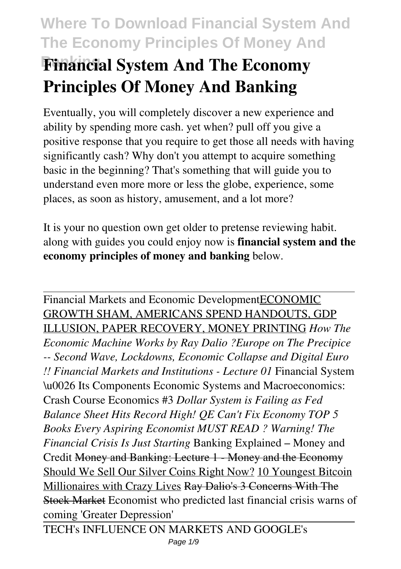# **Where To Download Financial System And The Economy Principles Of Money And Banking Financial System And The Economy Principles Of Money And Banking**

Eventually, you will completely discover a new experience and ability by spending more cash. yet when? pull off you give a positive response that you require to get those all needs with having significantly cash? Why don't you attempt to acquire something basic in the beginning? That's something that will guide you to understand even more more or less the globe, experience, some places, as soon as history, amusement, and a lot more?

It is your no question own get older to pretense reviewing habit. along with guides you could enjoy now is **financial system and the economy principles of money and banking** below.

Financial Markets and Economic DevelopmentECONOMIC GROWTH SHAM, AMERICANS SPEND HANDOUTS, GDP ILLUSION, PAPER RECOVERY, MONEY PRINTING *How The Economic Machine Works by Ray Dalio ?Europe on The Precipice -- Second Wave, Lockdowns, Economic Collapse and Digital Euro !! Financial Markets and Institutions - Lecture 01* Financial System \u0026 Its Components Economic Systems and Macroeconomics: Crash Course Economics #3 *Dollar System is Failing as Fed Balance Sheet Hits Record High! QE Can't Fix Economy TOP 5 Books Every Aspiring Economist MUST READ ? Warning! The Financial Crisis Is Just Starting* Banking Explained – Money and Credit Money and Banking: Lecture 1 - Money and the Economy Should We Sell Our Silver Coins Right Now? 10 Youngest Bitcoin Millionaires with Crazy Lives Ray Dalio's 3 Concerns With The Stock Market Economist who predicted last financial crisis warns of coming 'Greater Depression'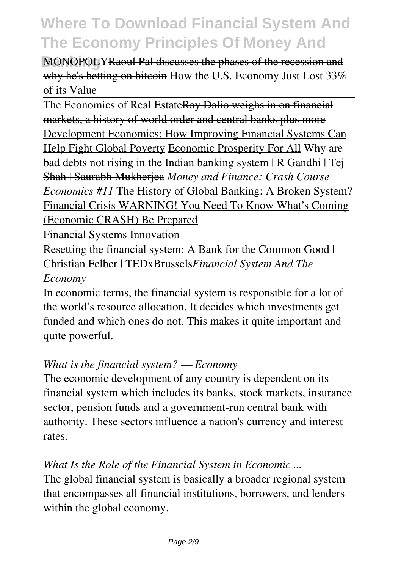**MONOPOLYRaoul Pal discusses the phases of the recession and** why he's betting on bitcoin How the U.S. Economy Just Lost 33% of its Value

The Economics of Real EstateRay Dalio weighs in on financial markets, a history of world order and central banks plus more Development Economics: How Improving Financial Systems Can Help Fight Global Poverty Economic Prosperity For All Why are bad debts not rising in the Indian banking system | R Gandhi | Tej Shah | Saurabh Mukherjea *Money and Finance: Crash Course Economics #11* The History of Global Banking: A Broken System? Financial Crisis WARNING! You Need To Know What's Coming (Economic CRASH) Be Prepared

Financial Systems Innovation

Resetting the financial system: A Bank for the Common Good | Christian Felber | TEDxBrussels*Financial System And The Economy*

In economic terms, the financial system is responsible for a lot of the world's resource allocation. It decides which investments get funded and which ones do not. This makes it quite important and quite powerful.

### *What is the financial system? — Economy*

The economic development of any country is dependent on its financial system which includes its banks, stock markets, insurance sector, pension funds and a government-run central bank with authority. These sectors influence a nation's currency and interest rates.

## *What Is the Role of the Financial System in Economic ...*

The global financial system is basically a broader regional system that encompasses all financial institutions, borrowers, and lenders within the global economy.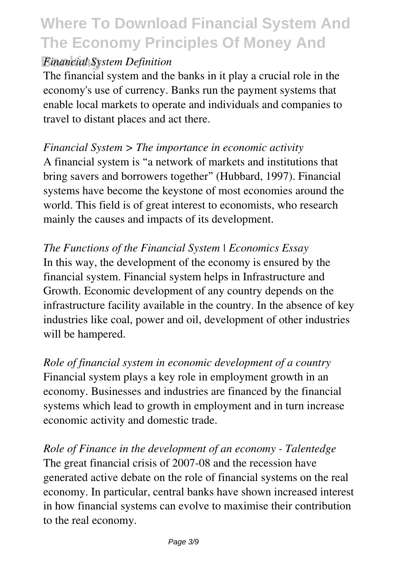### **Financial System Definition**

The financial system and the banks in it play a crucial role in the economy's use of currency. Banks run the payment systems that enable local markets to operate and individuals and companies to travel to distant places and act there.

### *Financial System > The importance in economic activity*

A financial system is "a network of markets and institutions that bring savers and borrowers together" (Hubbard, 1997). Financial systems have become the keystone of most economies around the world. This field is of great interest to economists, who research mainly the causes and impacts of its development.

*The Functions of the Financial System | Economics Essay* In this way, the development of the economy is ensured by the financial system. Financial system helps in Infrastructure and Growth. Economic development of any country depends on the infrastructure facility available in the country. In the absence of key industries like coal, power and oil, development of other industries will be hampered.

*Role of financial system in economic development of a country* Financial system plays a key role in employment growth in an economy. Businesses and industries are financed by the financial systems which lead to growth in employment and in turn increase economic activity and domestic trade.

*Role of Finance in the development of an economy - Talentedge* The great financial crisis of 2007-08 and the recession have generated active debate on the role of financial systems on the real economy. In particular, central banks have shown increased interest in how financial systems can evolve to maximise their contribution to the real economy.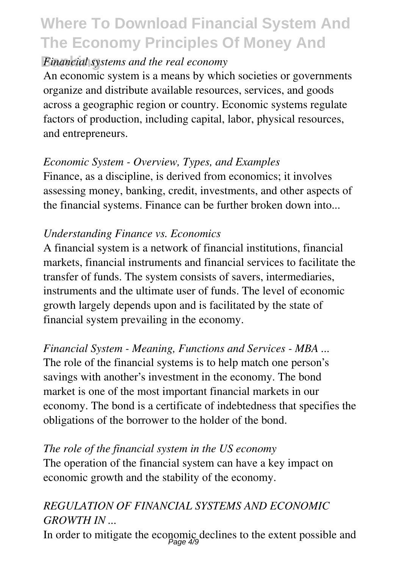### *Financial systems and the real economy*

An economic system is a means by which societies or governments organize and distribute available resources, services, and goods across a geographic region or country. Economic systems regulate factors of production, including capital, labor, physical resources, and entrepreneurs.

## *Economic System - Overview, Types, and Examples*

Finance, as a discipline, is derived from economics; it involves assessing money, banking, credit, investments, and other aspects of the financial systems. Finance can be further broken down into...

## *Understanding Finance vs. Economics*

A financial system is a network of financial institutions, financial markets, financial instruments and financial services to facilitate the transfer of funds. The system consists of savers, intermediaries, instruments and the ultimate user of funds. The level of economic growth largely depends upon and is facilitated by the state of financial system prevailing in the economy.

## *Financial System - Meaning, Functions and Services - MBA ...*

The role of the financial systems is to help match one person's savings with another's investment in the economy. The bond market is one of the most important financial markets in our economy. The bond is a certificate of indebtedness that specifies the obligations of the borrower to the holder of the bond.

## *The role of the financial system in the US economy*

The operation of the financial system can have a key impact on economic growth and the stability of the economy.

## *REGULATION OF FINANCIAL SYSTEMS AND ECONOMIC GROWTH IN ...*

In order to mitigate the economic declines to the extent possible and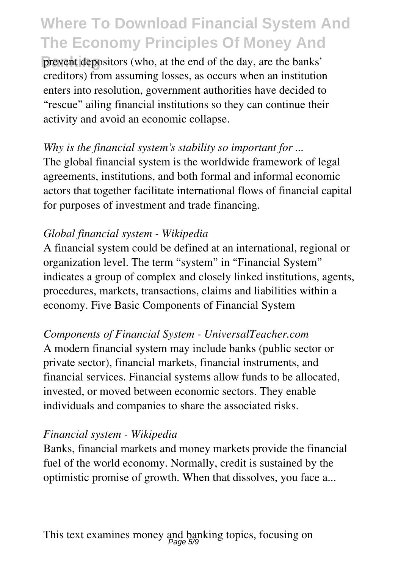**Banking** prevent depositors (who, at the end of the day, are the banks' creditors) from assuming losses, as occurs when an institution enters into resolution, government authorities have decided to "rescue" ailing financial institutions so they can continue their activity and avoid an economic collapse.

## *Why is the financial system's stability so important for ...*

The global financial system is the worldwide framework of legal agreements, institutions, and both formal and informal economic actors that together facilitate international flows of financial capital for purposes of investment and trade financing.

### *Global financial system - Wikipedia*

A financial system could be defined at an international, regional or organization level. The term "system" in "Financial System" indicates a group of complex and closely linked institutions, agents, procedures, markets, transactions, claims and liabilities within a economy. Five Basic Components of Financial System

### *Components of Financial System - UniversalTeacher.com*

A modern financial system may include banks (public sector or private sector), financial markets, financial instruments, and financial services. Financial systems allow funds to be allocated, invested, or moved between economic sectors. They enable individuals and companies to share the associated risks.

### *Financial system - Wikipedia*

Banks, financial markets and money markets provide the financial fuel of the world economy. Normally, credit is sustained by the optimistic promise of growth. When that dissolves, you face a...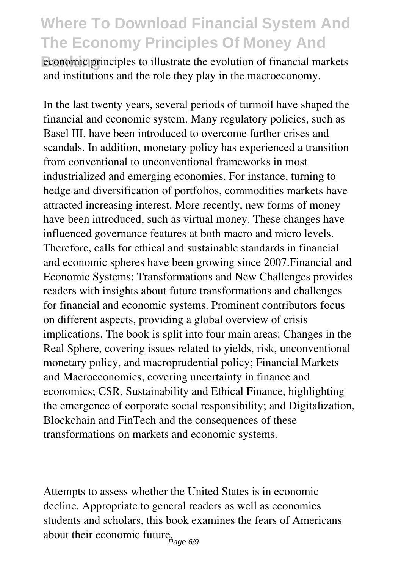**Banking** economic principles to illustrate the evolution of financial markets and institutions and the role they play in the macroeconomy.

In the last twenty years, several periods of turmoil have shaped the financial and economic system. Many regulatory policies, such as Basel III, have been introduced to overcome further crises and scandals. In addition, monetary policy has experienced a transition from conventional to unconventional frameworks in most industrialized and emerging economies. For instance, turning to hedge and diversification of portfolios, commodities markets have attracted increasing interest. More recently, new forms of money have been introduced, such as virtual money. These changes have influenced governance features at both macro and micro levels. Therefore, calls for ethical and sustainable standards in financial and economic spheres have been growing since 2007.Financial and Economic Systems: Transformations and New Challenges provides readers with insights about future transformations and challenges for financial and economic systems. Prominent contributors focus on different aspects, providing a global overview of crisis implications. The book is split into four main areas: Changes in the Real Sphere, covering issues related to yields, risk, unconventional monetary policy, and macroprudential policy; Financial Markets and Macroeconomics, covering uncertainty in finance and economics; CSR, Sustainability and Ethical Finance, highlighting the emergence of corporate social responsibility; and Digitalization, Blockchain and FinTech and the consequences of these transformations on markets and economic systems.

Attempts to assess whether the United States is in economic decline. Appropriate to general readers as well as economics students and scholars, this book examines the fears of Americans about their economic future.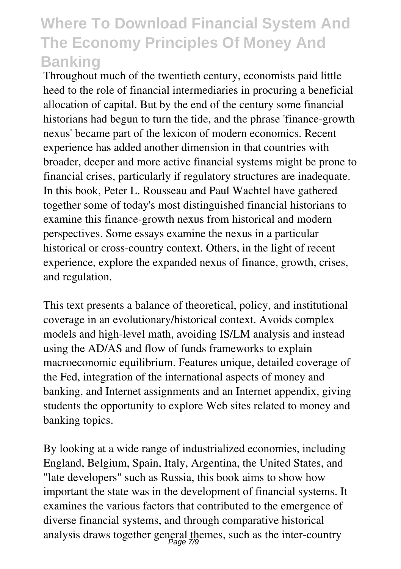Throughout much of the twentieth century, economists paid little heed to the role of financial intermediaries in procuring a beneficial allocation of capital. But by the end of the century some financial historians had begun to turn the tide, and the phrase 'finance-growth nexus' became part of the lexicon of modern economics. Recent experience has added another dimension in that countries with broader, deeper and more active financial systems might be prone to financial crises, particularly if regulatory structures are inadequate. In this book, Peter L. Rousseau and Paul Wachtel have gathered together some of today's most distinguished financial historians to examine this finance-growth nexus from historical and modern perspectives. Some essays examine the nexus in a particular historical or cross-country context. Others, in the light of recent experience, explore the expanded nexus of finance, growth, crises, and regulation.

This text presents a balance of theoretical, policy, and institutional coverage in an evolutionary/historical context. Avoids complex models and high-level math, avoiding IS/LM analysis and instead using the AD/AS and flow of funds frameworks to explain macroeconomic equilibrium. Features unique, detailed coverage of the Fed, integration of the international aspects of money and banking, and Internet assignments and an Internet appendix, giving students the opportunity to explore Web sites related to money and banking topics.

By looking at a wide range of industrialized economies, including England, Belgium, Spain, Italy, Argentina, the United States, and "late developers" such as Russia, this book aims to show how important the state was in the development of financial systems. It examines the various factors that contributed to the emergence of diverse financial systems, and through comparative historical analysis draws together general themes, such as the inter-country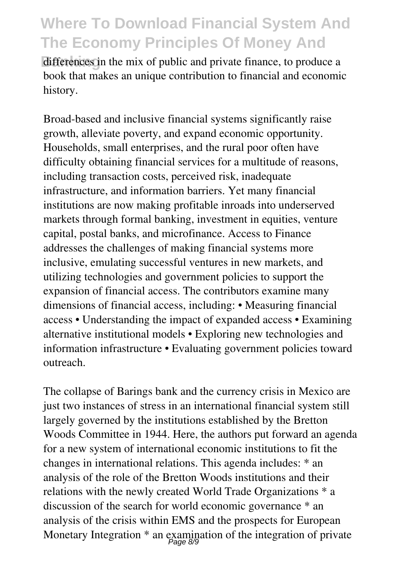differences in the mix of public and private finance, to produce a book that makes an unique contribution to financial and economic history.

Broad-based and inclusive financial systems significantly raise growth, alleviate poverty, and expand economic opportunity. Households, small enterprises, and the rural poor often have difficulty obtaining financial services for a multitude of reasons, including transaction costs, perceived risk, inadequate infrastructure, and information barriers. Yet many financial institutions are now making profitable inroads into underserved markets through formal banking, investment in equities, venture capital, postal banks, and microfinance. Access to Finance addresses the challenges of making financial systems more inclusive, emulating successful ventures in new markets, and utilizing technologies and government policies to support the expansion of financial access. The contributors examine many dimensions of financial access, including: • Measuring financial access • Understanding the impact of expanded access • Examining alternative institutional models • Exploring new technologies and information infrastructure • Evaluating government policies toward outreach.

The collapse of Barings bank and the currency crisis in Mexico are just two instances of stress in an international financial system still largely governed by the institutions established by the Bretton Woods Committee in 1944. Here, the authors put forward an agenda for a new system of international economic institutions to fit the changes in international relations. This agenda includes: \* an analysis of the role of the Bretton Woods institutions and their relations with the newly created World Trade Organizations \* a discussion of the search for world economic governance \* an analysis of the crisis within EMS and the prospects for European Monetary Integration  $*$  an examination of the integration of private